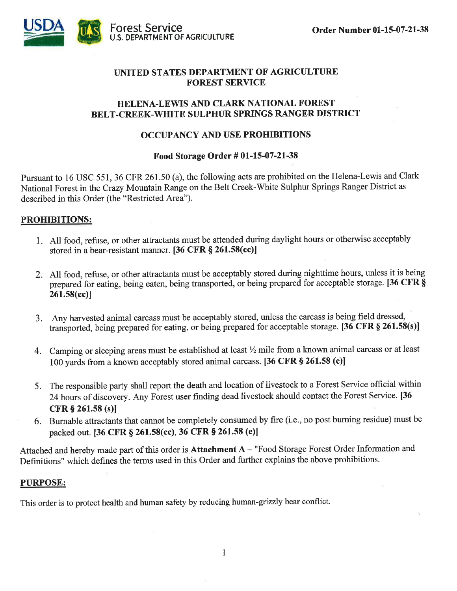

#### UNITED STATES DEPARTMENT OF AGRICULTURE FOREST SERVICE

#### HELENA.LEWIS AND CLARK NATIONAL FOREST BELT.CREEK-WHITE SULPHUR SPRINGS RANGER DISTRICT

#### OCCUPANCY AND USE PROHIBITIONS

#### Food Storage Order # 01-15-07-21-38

Pursuant to 16 USC 551, 36 CFR 261.50 (a), the following acts are prohibited on the Helena-Lewis and Clark National Forest in the Crazy Mountain Range on the Belt Creek-White Sulphur Springs Ranger District as described in this Order (the "Restricted Area").

#### PROHIBITIONS:

- l. All food, refuse, or other attractants must be attended during daylight hours or otherwise acceptably stored in a bear-resistant manner.  $[36 \text{ CFR } \frac{8}{9} 261.58(\text{cc})]$
- 2. All food, refuse, or other attractants must be acceptably stored during nighttime hours, unless it is being prepared for eating, being eaten, being transported, or being prepared for acceptable storage. [36 CFR § 261.58(cc)l
- 3. Any harvested animal carcass must be acceptably stored, unless the carcass is being field dressed, transported, being prepared for eating, or being prepared for acceptable storage. [36 CFR  $\S$  261.58(s)]
- 4. Camping or sleeping areas must be established at least  $\frac{1}{2}$  mile from a known animal carcass or at least 100 yards from a known acceptably stored animal carcass. [36 CFR  $\S$  261.58 (e)]
- 5. The responsible party shall report the death and location of livestock to a Forest Service official within 24 hours of discovery. Any Forest user finding dead livestock should contact the Forest Service. [36 CFR 5 261.58 (s)l
- 6. Burnable attractants that cannot be completely consumed by fire (i.e., no post buming residue) must be packed out. [36 CFR § 261.58(cc), 36 CFR § 261.58 (e)]

Attached and hereby made part of this order is Attachment A - "Food Storage Forest Order Information and Definitions" which defines the terms used in this Order and further explains the above prohibitions.

#### PURPOSE:

This order is to protect health and human safety by reducing human-grizzly bear conflict.

1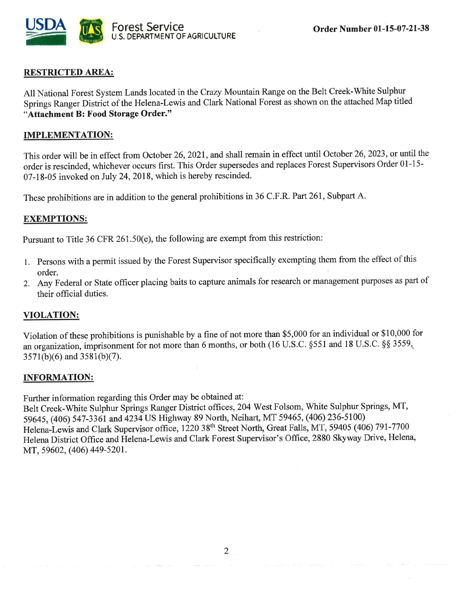

# - RESTRICTED AREA:

All National Forest System Lands located in the Crary Mountain Range on the Belt Creek-White Sulphur Springs Ranger District of the Helena-Lewis and Clark National Forest as shown on the attached Map titled "Attachment B: Food Storage Order."

#### IMPLEMENTATION:

This order will be in effect from October 26,2021, and shall remain in effect until October 26,2023, or until the order is rescinded, whichever occurs first. This Order supersedes and replaces Forest Supervisors Order 01-15- 07-18-05 invoked on July 24,2018, which is hereby rescinded.

These prohibitions are in addition to the general prohibitions in 36 C.F.R. Part 261, Subpart A.

#### EXEMPTIONS:

Pursuant to Title 36 CFR 261.50(e), the following are exempt from this restriction:

- 1. persons with a permit issued by the Forest Supervisor specifigally exempting them from the effect of this order.
- 2. Any Federal or State officer placing baits to capture animals for research or management purposes as part of their official duties.

#### VIOLATION:

Violation of these prohibitions is punishable by a fine of not more than \$5,000 for an individual or \$10,000 for an organization, imprisonment for not more than 6 months, or both (16 U.S.C. \$551 and l8 U.S.C. \$\$ 3559,,  $3571(b)(6)$  and  $3581(b)(7)$ .

#### INFORMATION:

Further information regarding this Order may be obtained at:

Belt Creek-White Sulphur Springs Ranger District offices, 204 West Folsom, White Sulphur Springs, MT, 59645, (406) 547-3361 and 4234 US Highway 89 North, Neihart, MT 59465, (406) 236-5100) Helena-Lewis and Clark Supervisor office, 1220 38<sup>th</sup> Street North, Great Falls, MT, 59405 (406) 791-7700 Helena District Office and Helena-Lewis and Clark Forest Supervisor's Office, 2880 Skyway Drive, Helena, MT, 59602, (406) 449-5201.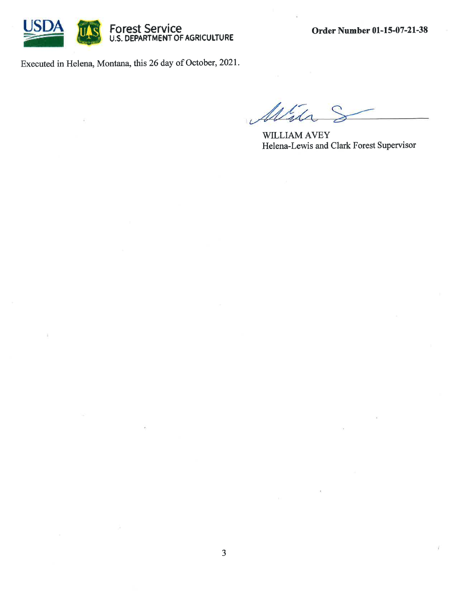

Executed in Helena, Montana, this 26 day of October, 2021.

WILLIAM AVEY Helena-Lewis and Clark Forest Supervisor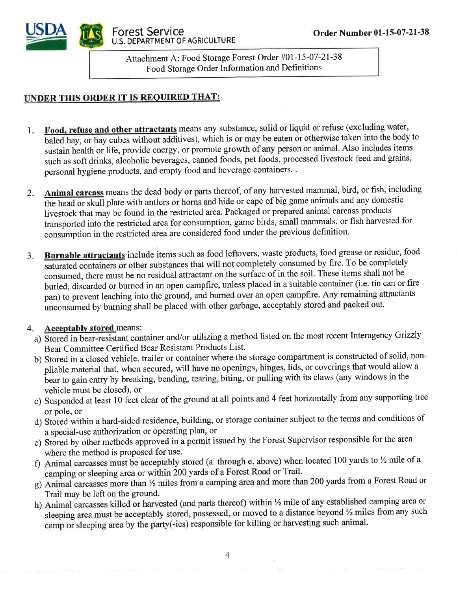



Attachment A: Food Storage Forest Order #01-15-07-2t-38 Food Storage Order Information and Definitions

## UNDER THIS ORDER IT IS REOUIRED THAT:

- I Food, refuse and other attractants means any substance, solid or liquid or refuse (excluding water, baled hay, or hay cubes without additives), which is or may be eaten or otherwise taken into the body to sustain health or life, provide energy, or promote growth of any person or animal. Also includes items such as soft drinks, alcoholic beverages, canned foods, pet foods, processed livestock feed and grains, personal hygiene products, and empty food and beverage containers. .
- $2.$ Animal carcass means the dead body or parts thereof, of any harvested mammal, bird, or fish, including the head or skull plate with antlers or horns and hide or cape of big game animals and any domestic livestock that may be found in the restricted area. Packaged or prepared animal carcass products transported into the restricted area for consumption, game birds, small mammals, or fish harvested for consumption in the restricted areaare considered food under the previous definition.
- $3.$ Burnable attractants include items such as food leftovers, waste products, food grease or residue, food saturated containers or other substances that will not completely consumed by fire. To be completely consumed, there must be no residual attractant on the surface of in the soil. These items shall not be buried, discarded or burned in an open campfire, unless placed in a suitable container (i.e. tin can or fire pan) to prevent leaching into the ground, and bumed over an open campfire. Any remaining attractants unconsumed by burning shall be placed with other garbage, acceptably stored and packed out.

### <sup>4</sup>. Accentablv stored means:

- a) Stored in bear-resistant container and/or utilizing a method listed on the most recent Interagency Grizzly Bear Committee Certified Bear Resistant Products List.
- b) Stored in a closed vehicle, trailer or container where the storage compartment is constructed of solid, nonpliable material that, when secured, will have no openings, hinges, lids, or coverings that would allow <sup>a</sup> bear to gain entry by breaking, bending, tearing, biting, or pulling with its claws (any windows in the vehicle must be closed), or
- c) Suspended at least 10 feet clear of the ground at all points and 4 feet horizontally from any supporting tree or pole, or
- d) Stored within a hard-sided residence, building, or storage container subject to the terms and conditions of a special-use authorization or operating plan, or
- e) Stored by other methods approved in a permit issued by the Forest Supervisor responsible for the area where the method is proposed for use.
- f) Animal carcasses must be acceptably stored (a. through e. above) when located 100 yards to  $\frac{1}{2}$  mile of a camping or sleeping area or within 200 yards of a Forest Road or Trail.
- g) Animal carcasses more than  $\frac{1}{2}$  miles from a camping area and more than 200 yards from a Forest Road or Trail may be left on the ground.
- h) Animal carcasses killed or harvested (and parts thereof) within 1/2 mile of any established camping area or sleeping area must be acceptably stored, possessed, or moved to a distance beyond  $\frac{1}{2}$  miles from any such camp or sleeping area by the party(-ies) responsible for killing or harvesting such animal.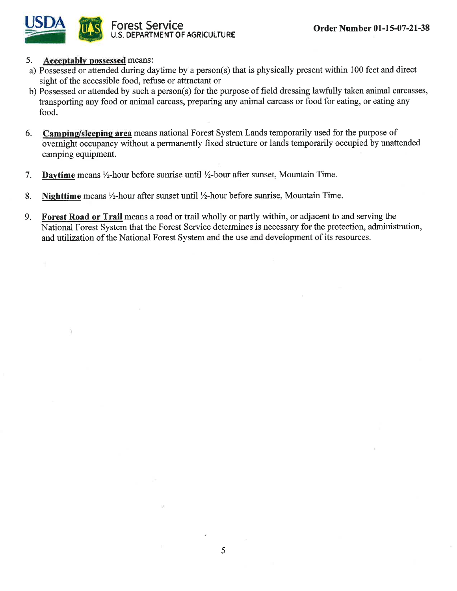

ä

#### 5. Acceptablv possessed means:

- a) Possessed or attended during daytime by a person(s) that is physically present within 100 feet and direct sight of the accessible food, refuse or attractant or
- b) Possessed or attended by such a person(s) for the purpose of field dressing lawfully taken animal carcasses, transporting any food or animal carcass, preparing any animal carcass or food for eating, or eating any food.
- 6. Camping/sleeping area means national Forest System Lands temporarily used for the purpose of overnight occupancy without a permanently fixed structure or lands temporarily occupied by unattended camping equipment
- 7. Daytime means  $\frac{1}{2}$ -hour before sunrise until  $\frac{1}{2}$ -hour after sunset, Mountain Time.
- 8. Nighttime means  $\frac{1}{2}$ -hour after sunset until  $\frac{1}{2}$ -hour before sunrise, Mountain Time.
- 9. Forest Road or Trail means a road or trail wholly or partly within, or adjacent to and serving the National Forest System that the Forest Service determines is necessary for the protection, administration, and utilization of the National Forest System and the use and development of its resources.